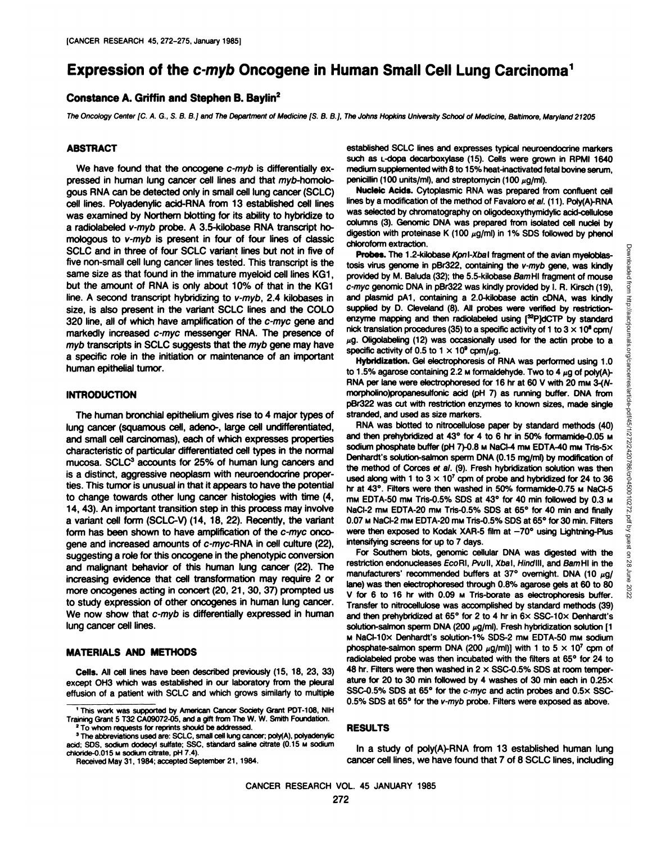# **Expression of the c-myb Oncogene in Human Small Cell Lung Carcinoma1**

## **Constance A. Griffin and Stephen B. Baylin2**

The Oncology Center [C. A. G., S. 8. B.] and The Department of Medicine [S. B. B.], The Johns Hopkins University School of Medicine, Baltimore. Maryland 21205

#### **ABSTRACT**

We have found that the oncogene c-myb is differentially expressed in human lung cancer cell lines and that myb-homologous RNA can be detected only in small cell lung cancer (SCLC) cell lines. Polyadenylic acid-RNA from 13 established cell lines was examined by Northern blotting for its ability to hybridize to a radiolabeled v-myb probe. A 3.5-kilobase RNA transcript ho mologous to v-myb is present in four of four lines of classic SCLC and in three of four SCLC variant lines but not in five of five non-small cell lung cancer lines tested. This transcript is the same size as that found in the immature myeloid cell lines KG1, but the amount of RNA is only about 10% of that in the KG1 line. A second transcript hybridizing to v-myb, 2.4 kilobases in size, is also present in the variant SCLC lines and the COLO 320 line, all of which have amplification of the c-myc gene and markedly increased c-myc messenger RNA. The presence of myb transcripts in SCLC suggests that the myb gene may have a specific role in the initiation or maintenance of an important human epithelial tumor.

# **INTRODUCTION**

The human bronchial epithelium gives rise to 4 major types of lung cancer (squamous cell, adeno-, large cell undifferentiated, and small cell carcinomas), each of which expresses properties characteristic of particular differentiated cell types in the normal mucosa. SCLC3 accounts for 25% of human lung cancers and is a distinct, aggressive neoplasm with neuroendocrine proper ties. This tumor is unusual in that it appears to have the potential to change towards other lung cancer histologies with time (4, 14, 43). An important transition step in this process may involve a variant cell form (SCLC-V) (14, 18, 22). Recently, the variant form has been shown to have amplification of the c-myc onco gene and increased amounts of c-myc-RNA in cell culture (22), suggesting a role for this oncogene in the phenotypic conversion and malignant behavior of this human lung cancer (22). The increasing evidence that cell transformation may require 2 or more oncogenes acting in concert (20, 21, 30, 37) prompted us to study expression of other oncogenes in human lung cancer. We now show that c-myb is differentially expressed in human and then prehybridized at  $65^{\circ}$  for 2 to 4 hr in  $6 \times$  SSC-10 $\times$  Denhardt's lung cancer cell lines.

## **MATERIALS AND METHODS**

**Cells. All cell lines have been described previously (15,18, 23, 33)** except OH3 which was established in our laboratory from the pleural effusion of a patient with SCLC and which grows similarly to multiple

Received May 31, 1984; accepted September 21,1984.

established SCLC lines and expresses typical neuroendocrine markers such as L-dopa decarboxylase (15). Cells were grown in RPMI 1640 medium supplemented with 8 to 15% heat-inactivated fetal bovine serum, penicillin (100 units/ml), and streptomycin (100  $\mu$ g/ml).

**Nucleic Acids. Cytoplasmic RNA was prepared from confluent cell** lines by a modification of the method of Favaloro et al. (11). Poly(A)-RNA was selected by chromatography on oligodeoxythymidylic acid-cellulose columns (3). Genomic DNA was prepared from isolated cell nuclei by digestion with proteinase K (100  $\mu$ g/ml) in 1% SDS followed by phenol chloroform extraction.

**Probes. The 1.2-kilobase Kpnl-Xoal fragment of the avian myeloblas**provided by M. Baluda (32); the 5.5-kilobase BamHI fragment of mouse c-myc genomic DNA in pBr322 was kindly provided by I. R. Kirsch (19), and plasmid pA1, containing a 2.0-kilobase actin cDNA, was kindly supplied by D. Cleveland (8). All probes were verified by restrictionenzyme mapping and then radiolabeled using [<sup>32</sup>P]dCTP by standard nick translation procedures (35) to a specific activity of 1 to  $3 \times 10^8$  cpm/  $\mu$ g. Oligolabeling (12) was occasionally used for the actin probe to a specific activity of 0.5 to 1  $\times$  10<sup>9</sup> cpm/ $\mu$ g.

**Hybridization. Gel electrophoresis of RNA was performed using 1.0** to 1.5% agarose containing 2.2  $\mu$  formaldehyde. Two to 4  $\mu$ g of poly(A)-RNA per lane were electrophoresed for 16 hr at 60 V with 20 mm 3-(Nmorpholino)propanesulfonic acid (pH 7) as running buffer. DNA from pBr322 was cut with restriction enzymes to known sizes, made single stranded, and used as size markers.

**Probes.** The 1.2-kilobase KprI-Xbal fragment of the avian myeloblasteis virus genome in pBr322, containing the *v-myb* gene, was kindly provided by M. Baluda (32); the 5.5-kilobase *BamH* fragment of mouse in pSr322 was RNA was blotted to nitrocellulose paper by standard methods (40) and then prehybridized at 43° for 4 to 6 hr in 50% formamide-0.05 M sodium phosphate buffer (pH 7)-0.8 M NaCl-4 mM EDTA-40 mM Tris-5 $\times$ Denhardt's solution-salmon sperm DNA (0.15 mg/ml) by modification of the method of Corces et al. (9). Fresh hybridization solution was then used along with 1 to  $3 \times 10^7$  cpm of probe and hybridized for 24 to 36 hr at 43°. Filters were then washed in 50% formamide-0.75 M NaCl-5 mm EDTA-50 mm Tris-0.5% SDS at 43° for 40 min followed by 0.3 m NaCI-2 mm EDTA-20 mm Tris-0.5% SDS at 65° for 40 min and finally 0.07 M NaCl-2 mM EDTA-20 mM Tris-0.5% SDS at 65° for 30 min. Filters were then exposed to Kodak XAR-5 film at  $-70^{\circ}$  using Lightning-Plus intensifying screens for up to 7 days.

For Southern blots, genomic cellular DNA was digested with the restriction endonucleases EcoRI, Pvull, Xbal, Hindlll, and BamHI in the  $\overline{\overset{\circ}{\approx}}$ manufacturers' recommended buffers at 37° overnight. DNA (10  $\mu$ g/ $\frac{1}{8}$ lane) was then electrophoresed through 0.8% agarose gels at 60 to 80  $\frac{8}{80}$ <br>V for 6 to 16 hr with 0.09 m Tris-borate as electrophoresis buffer. V for 6 to 16 hr with 0.09 **M** Tris-borate as electrophoresis buffer. Transfer to nitrocellulose was accomplished by standard methods (39) solution-salmon sperm DNA (200  $\mu$ g/ml). Fresh hybridization solution [1 M NaCl-10x Denhardt's solution-1% SDS-2 mm EDTA-50 mm sodium phosphate-salmon sperm DNA (200  $\mu$ g/ml)] with 1 to 5  $\times$  10<sup>7</sup> cpm of radiolabeled probe was then incubated with the filters at 65° for 24 to 48 hr. Filters were then washed in  $2 \times$  SSC-0.5% SDS at room temperature for 20 to 30 min followed by 4 washes of 30 min each in  $0.25 \times$ SSC-0.5% SDS at 65° for the c-myc and actin probes and 0.5x SSC-0.5% SDS at 65° for the v-myb probe. Filters were exposed as above.

#### **RESULTS**

In a study of poly(A)-RNA from 13 established human lung cancer cell lines, we have found that 7 of 8 SCLC lines, including

<sup>&#</sup>x27; This work was supported by American Cancer Society Grant PDT-108, NIH Training Grant 5 T32 CA09072-05. and a gift from The W. W. Smith Foundation. <sup>2</sup> To whom requests for reprints should be addressed.

<sup>&</sup>lt;sup>3</sup> The abbreviations used are: SCLC, small cell lung cancer; poly(A), polyadenylic acid; SDS, sodium dodecyl sulfate; SSC, standard saline citrate (0.15 M sodium chloride-0.015 M sodium citrate. pH 7.4).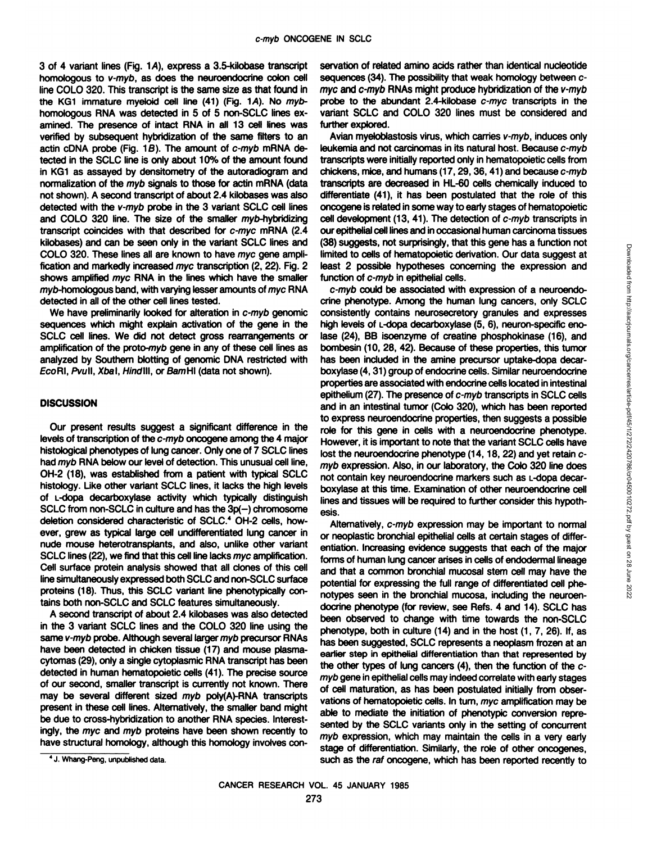3 of 4 variant lines (Fig. 1A), express a 3.5-kilobase transcript homologous to v-myb, as does the neuroendocrine colon cell line COLO 320. This transcript is the same size as that found in the KG1 immature myeloid cell line  $(41)$  (Fig. 1A). No mybhomologous RNA was detected in 5 of 5 non-SCLC lines ex amined. The presence of intact RNA in all 13 cell lines was verified by subsequent hybridization of the same filters to an actin cDNA probe (Fig. 1B). The amount of c-myb mRNA de tected in the SCLC line is only about 10% of the amount found in KG1 as assayed by densitometry of the autoradiogram and normalization of the myb signals to those for actin mRNA (data not shown). A second transcript of about 2.4 kilobases was also detected with the v-myb probe in the 3 variant SCLC cell lines and COLO 320 line. The size of the smaller myb-hybridizing transcript coincides with that described for c-myc mRNA (2.4 kilobases) and can be seen only in the variant SCLC lines and COLO 320. These lines all are known to have myc gene ampli fication and markedly increased myc transcription (2,22). Fig. 2 shows amplified myc RNA in the lines which have the smaller myb-homologous band, with varying lesser amounts of myc RNA detected in all of the other cell lines tested.

We have preliminarily looked for alteration in c-myb genomic sequences which might explain activation of the gene in the SCLC cell lines. We did not detect gross rearrangements or amplification of the proto-myò gene in any of these cell lines as analyzed by Southern blotting of genomic DNA restricted with EcoRI, Pvull, Xbal, Hindlll, or BamHI (data not shown).

# **DISCUSSION**

Our present results suggest a significant difference in the levels of transcription of the c-myb oncogene among the 4 major histological phenotypes of lung cancer. Only one of 7 SCLC lines had myb RNA below our level of detection. This unusual cell line, OH-2 (18), was established from a patient with typical SCLC histology. Like other variant SCLC lines, it lacks the high levels of L-dopa decarboxylase activity which typically distinguish SCLC from non-SCLC in culture and has the 3p(-) chromosome deletion considered characteristic of SCLC.<sup>4</sup> OH-2 cells, however, grew as typical large cell undifferentiated lung cancer in nude mouse heterotransplants, and also, unlike other variant SCLC lines (22), we find that this cell line lacks myc amplification. Cell surface protein analysis showed that all clones of this cell line simultaneously expressed both SCLC and non-SCLC surface proteins (18). Thus, this SCLC variant line phenotypically con tains both non-SCLC and SCLC features simultaneously.

A second transcript of about 2.4 kilobases was also detected in the 3 variant SCLC lines and the COLO 320 line using the same v-myb probe. Although several larger myb precursor RNAs have been detected in chicken tissue (17) and mouse plasmacytomas (29), only a single cytoplasmic RNA transcript has been detected in human hematopoietic cells (41). The precise source of our second, smaller transcript is currently not known. There may be several different sized myb poly(A)-RNA transcripts present in these cell lines. Alternatively, the smaller band might be due to cross-hybridization to another RNA species. Interest ingly, the myc and myb proteins have been shown recently to have structural homology, although this homology involves conservation of related amino acids rather than identical nucleotide sequences (34). The possibility that weak homology between cmyc and c-myb RNAs might produce hybridization of the v-myb probe to the abundant 2.4-kilobase c-myc transcripts in the variant SCLC and COLO 320 lines must be considered and further explored.

Avian myeloblastosis virus, which carries v-myb, induces only leukemia and not carcinomas in its natural host. Because c-myb transcripts were initially reported only in hematopoietic cells from chickens, mice, and humans (17, 29, 36, 41) and because c-myb transcripts are decreased in HL-60 cells chemically induced to differentiate (41), it has been postulated that the role of this oncogene is related in some way to early stages of hematopoietic cell development (13, 41). The detection of c-myb transcripts in our epithelial cell lines and in occasional human carcinoma tissues (38) suggests, not surprisingly, that this gene has a function not limited to cells of hematopoietic derivation. Our data suggest at least 2 possible hypotheses concerning the expression and function of c-myb in epithelial cells.

c-myb could be associated with expression of a neuroendo-(or suggests, we can be the mean of the can be the can be the consistent of the phenotype of the phenotype. Among the cancers of a neuroendo-<br>crimp could be associated with expression of a neuroendo-<br>crimp could be associa consistently contains neurosecretory granules and expresses high levels of L-dopa decarboxylase (5, 6), neuron-specific enolase (24), BB isoenzyme of creatine phosphokinase (16), and bombesin (10, 28, 42). Because of these properties, this tumor has been included in the amine precursor uptake-dopa decar boxylase (4,31) group of endocrine cells. Similar neuroendocrine properties are associated with endocrine cells located in intestinal epithelium (27). The presence of c-myb transcripts in SCLC cells and in an intestinal tumor (Colo 320), which has been reported to express neuroendocrine properties, then suggests a possible role for this gene in cells with a neuroendocrine phenotype. However, it is important to note that the variant SCLC cells have lost the neuroendocrine phenotype (14, 18, 22) and yet retain cmyb expression. Also, in our laboratory, the Colo 320 line does not contain key neuroendocrine markers such as L-dopa decar boxylase at this time. Examination of other neuroendocrine cell lines and tissues will be required to further consider this hypoth esis.

Alternatively, c-myb expression may be important to normal or neoplastic bronchial epithelial cells at certain stages of differ entiation. Increasing evidence suggests that each of the major forms of human lung cancer arises in cells of endodermal lineage and that a common bronchial mucosal stem cell may have the potential for expressing the full range of differentiated cell phe notypes seen in the bronchial mucosa, including the neuroen docrine phenotype (for review, see Refs. 4 and 14). SCLC has been observed to change with time towards the non-SCLC phenotype, both in culture (14) and in the host (1, 7, 26). If, as has been suggested, SCLC represents a neoplasm frozen at an earlier step in epithelial differentiation than that represented by the other types of lung cancers (4), then the function of the cmyb gene in epithelial cells may indeed correlate with early stages of cell maturation, as has been postulated initially from obser vations of hematopoietic cells. In turn, myc amplification may be able to mediate the initiation of phenotypic conversion repre sented by the SCLC variants only in the setting of concurrent myb expression, which may maintain the cells in a very early stage of differentiation. Similarly, the role of other oncogenes, such as the raf oncogene, which has been reported recently to

<sup>&#</sup>x27; J. Whang-Peng, unpublished data.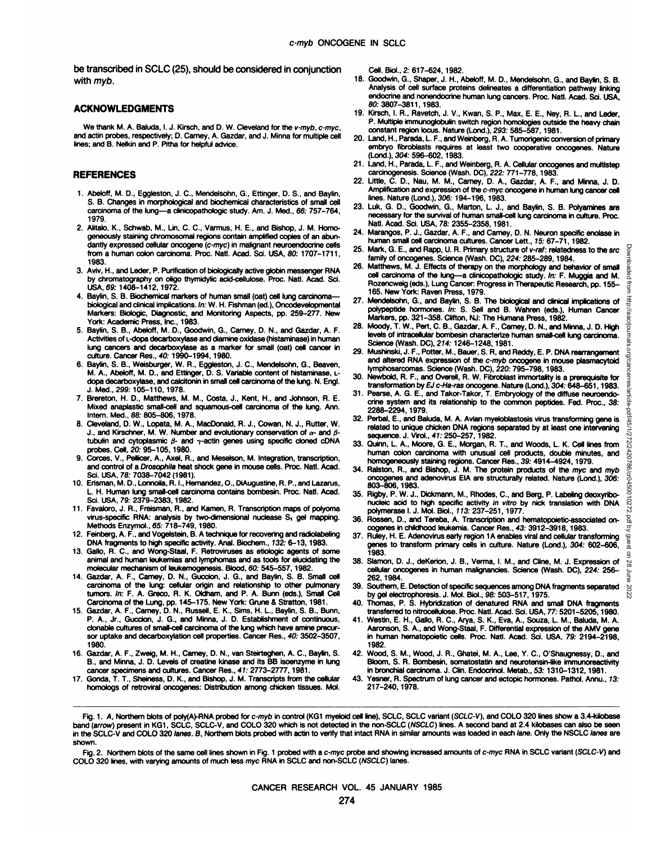be transcribed in SCLC (25), should be considered in conjunction with myb.

#### **ACKNOWLEDGMENTS**

We thank M. A. Baluda, I. J. Kirsch, and D. W. Cleveland for the v-myb, c-myc, and actin probes, respectively; D. Carney, A. Gazdar, and J. Minna for multiple cell lines; and B. Nelkin and P. Pitha for helpful advice.

#### **REFERENCES**

- 1. Abeloff, M. D., Eggleston, J. C., Mendelsohn, G., Ettinger, D. S., and Baylin, S. B. Changes in morphological and biochemical characteristics of small cell carcinoma of the lung—a clinicopathologic study. Am. J. Med., 66: 757-764, 1979.
- 2. Alitalo, K., Schwab, M., Lin, C. C., Varmus, H. E., and Bishop, J. M. Homo-24. geneously staining chromosomal regions contain amplified copies of an abun dantly expressed cellular oncogene (c-myc) in malignant neuroendocrine cells 25. from a human colon carcinoma. Proc. Nati. Acad. Sci. USA, 80: 1707-1711, 1983.
- 3. Aviv, H., and Leder, P. Purification of biologically active globin messenger RNA by chromatography on oligo thymidylic acid-cellulose. Proc. Nati. Acad. Sci. USA, 69. 1408-1412,1972.
- 4. Baylin, S. B. Biochemical markers of human small (oat) cell lung carcinoma biological and clinical implications. In: W. H. Fishman (ed.), Oncodevelopmental Markers: Biologic, Diagnostic, and Monitoring Aspects, pp. 259-277. New York: Academic Press, Inc., 1983.
- Fork: Academic Press, Inc., 1963.<br>5. Baylin, S. B., Abeloff, M. D., Goodwin, G., Carney, D. N., and Gazdar, A. F. 28. Activities of L-dopa decarboxylase and diamine oxidase (histaminase) in human lung cancers and decarboxylase as a marker for small (oat) cell cancer in culture. Cancer Res.. 40: 1990-1994,1980.
- 6. Baylin, S. B., Weisburger, W. R., Eggleston, J. C., Mendelsohn, G., Beaven, M. A., Abeloff, M. D., and Ettinger, D. S. Variable content of histaminase, L dopa decarboxylase, and calcitonin in smallcell carcinoma of the lung. N. Engl. J. Med., 299. 105-110, 1978.
- 7. Brereton, H. D., Matthews, M. M., Costa, J., Kent, H., and Johnson, R. E. Mixed anaplastic small-cell and squamous-cell carcinoma of the lung. Ann. Intern. Med., 88: 805-806, 1978.
- 8. Cleveland, D. W., topata, M. A., MacDonald, R. J., Cowan, N. J., Rutter, W. J., and Kirschner, M. W. Number and evolutionary conservation of  $\alpha$ - and  $\beta$ tubulin and cytoplasmic  $\beta$ - and  $\gamma$ -actin genes using specific cloned cDNA probes. Cell, 20: 95-105,1980.
- 9. Corees, V., Pellicer, A., Axel, R., and Meselson, M. Integration, transcription, and control of a Drosophila heat shock gene in mouse cells. Proc. Nati. Acad. Sci. USA, 78: 7038-7042(1981).
- 10. Erisman, M. D., Lonnoila, R. I., Hernandez, O., DiAugustine, R. P., and Lazarus, L. H. Human lung small-cell carcinoma contains bombesin. Proc. Nati. Acad. Sci. USA, 79: 2379-2383,1982.
- 11. Favaloro, J. R., Freisman, R., and Kamen, R. Transcription maps of polyoma virus-specific RNA: analysis by two-dimensional nuclease S, gel mapping. Methods Enzymol., 65: 718-749, 1980.
- 12. Feinberg, A. F., and Vogelstein, B. A technique forrecovering and radiolabeling DNA fragments to high specific activity. Anal. Biochem., 732: 6-13,1983.
- 13. Gallo, R. C., and Wong-Staal, F. Retroviruses as etiologic agents of some animal and human leukemias and lymphomas and as tools for elucidating the molecular mechanism of leukemogenesis. Blood, 60: 545-557,1982.
- 14. Gazdar, A. F., Carney, D. N., Guccion, J. G., and Baylin, S. B. Small cell carcinoma of the lung: cellular origin and relationship to other pulmonary tumors. In: F. A. Greco, R. K. Oldham, and P. A. Bunn (eds.), Small Cell Carcinoma of the Lung, pp. 145-175. New York: Gruñe& Stratton, 1981.
- 15. Gazdar, A. F., Carney, D. N., Russell, E. K., Sims, H. L., Baylin, S. B., Bunn, P. A., Jr., Guccion, J. G., and Minna, J. D. Establishment of continuous,<br>clonable cultures of small-cell carcinoma of the lung which have amine precur-<br>sor uptake and decarboxvlation cell properties. Cancer Res.. 40: 3502 1980.
- 16. Gazdar, A. F., Zweig, M. H., Carney. D. N., van Steirteghen, A. C., Baylin, S. B., and Minna, J. D. Levels of creatine kinase and its BB isoenzyme in lung cancer specimens and cultures. Cancer Res., 41: 2773-2777,1981.
- 17. Gonda, T. T., Sheiness. D. K., and Bishop, J. M. Transcripts from the cellular homologs of retroviral oncogenes: Distribution among chicken tissues. Mol.

Cell. Biol., 2: 617-624, 1982.

- 18. Goodwin, G., Shaper, J. H., Abeloff, M. D., Mendelsohn, G., and Baylin, S. B. Analysis of cell surface proteins delineates a differentiation pathway linking endocrine and nonendocrine human lung cancers. Proc. Nati. Acad. Sci. USA, 80:3807-3811, 1983.
- 19. Kirsch, I. R., Ravetch, J. V., Kwan, S. P., Max, E. E., Ney, R. L., and Leder, P. Multiple immunoglobulin switch region homologies outside the heavy chain constant region locus. Nature (Lond.), 293: 585-587, 1981.
- 20. Land, H., Parada, L. F., and Weinberg, R. A. Tumorigenic conversion of primary embryo fibroblasts requires at least two cooperative oncogenes. Nature (Lond.), 304: 596-602, 1983.
- 21. Land, H., Parada, L. F., and Weinberg, R. A. Cellular oncogenes and multistep carcinogenesis. Science (Wash. DC), 222: 771-778, 1983.
- 22. Little, C. D., Nau, M. M., Carney, D. A., Gazdar, A. F., and Minna, J. D. Amplification and expression of the c-myc oncogene in human lung cancer cell lines. Nature (Lond.), 306: 194-196, 1983.
- 23. Luk, G. D., Goodwin, G., Marton, L. J., and Baylin, S. B. Polyamines are necessary for the survival of human small-cell lung carcinoma in culture. Proc Nati. Acad. Sci. USA, 78: 2355-2358,1981.
- Marangos, P. J., Gazdar, A. F., and Carney, D. N. Neuron specific enolase in human small cell carcinoma cultures. Cancer Lett., 75: 67-71, 1982.
- Mark, G. E., and Rapp, U. R. Primary structure of v-raf: relatedness to the src  $\frac{5}{2}$ family of oncogenes. Science (Wash. DC), 224: 285-289,1984.
- Matthews, M. J. Effects of therapy on the morphology and behavior of small  $\frac{5}{8}$  cell carcinoma of the lung—a clinicopathologic study. In: F. Muggia and M.  $\frac{8}{8}$ cell carcinoma of the lung—a clinicopathologic study. In: F. Muggia and M. Rozencweig (eds.), Lung Cancer: Progress in Therapeutic Research, pp. 155- 165. New York: Raven Press, 1979.
- 27. Mendelsohn, G., and Baylin, S. B. The biological and clinical implications of polypeptide hormones. In: S. Sell and B. Wahren (eds.), Human Cancer Markers, pp. 321-358. Clifton, NJ: The Humana Press, 1982.
- Moody, T. W., Pert, C. B., Gazdar, A. F., Carney, D. N., and Minna, J. D. High  $\frac{1}{2}$  levels of intracellular bombesin characterize human small-cell lung carcinoma. levels of intracellular bombesin characterize human small-cell lung carcinoma. Science (Wash. DC), 214: 1246-1248, 1981.
- 29. Mushinski, J. F., Potter, M., Bauer, S. R, and Reddy, E. P. DNA rearrangement  $\frac{5}{20}$  and altered RNA expression of the *c-myb* oncogene in mouse plasmacytoid  $\frac{5}{20}$ and altered RNA expression of the c-myb oncogene in mouse plasmacytoid  $\frac{1}{10}$ lymphosarcomas. Science (Wash. DC), 220: 795-798, 1983.

30. Newbold, R. F., and Overell, R. W. Fibroblast immortality is a prerequisite for  $\frac{3}{2}$ <br>transformation by EJ c-Ha-ras oncogene. Nature (Lond.), 304: 648-651, 1983 transformation by EJ c-Ha-ras oncogene. Nature (Lond.), 304:648-651,1983.

- 31. Pearse, A. G. E., and Takor-Takor, T. Embryology of the diffuse neuroendo-Pearse, A. G. E., and Takor-Takor, T. Embryology of the diffuse neuroendo-<br>crine system and its relationship to the common peptides. Fed. Proc., 38: 2288-2294,1979.
- **22. Perbal, E., and Baluda, M. A. Avian myeloblastosis virus transforming gene is<br>related to unique chicken DNA regions separated by at least one intervening<br>sequence. J. Virol., 41: 250–257, 1982.** related to unique chicken DNA regions separated by at least one intervening sequence. J. Viral., 47: 250-257, 1982.
- 33. Quinn, L. A., Moore, G. E., Morgan, R. T., and Woods, L. K. Cell lines from Numan colon carcinoma with unusual cell products, double minutes, and homogeneously staining regions. Cancer Res., 39: 4914–4924, 1979.<br>34. R human colon carcinoma with unusual cell products, double minutes, and homogeneously staining regions. Cancer Res., 39: 4914-4924,1979.
- 34. Ralston, R., and Bishop, J. M. The protein products of the myc and myb oncogenes and adenovirus EIA are structurally related. Nature (Lond.), 306: 803-806, 1983.
- 35. Rigby, P. W. J., Dickmann, M., Rhodes, C., and Berg, P. Labeling deoxyribcnucleic acid to high specific activity in vitro by nick translation with DNA polymerase I. J. Mol. Biol., 773: 237-251, 1977.
- 36. Rossen, D., and Tereba, A. Transcription and hematopoietic-associated oncogenes in childhood leukemia. Cancer Res., 43: 3912-3918,1983.
- 37. Ruley, H. E. Adenovirus early region 1A enables viral and cellular transforming  $\frac{\infty}{2}$  genes to transform primary cells in culture. Nature (Lond.), 304: 602-606,  $\frac{\infty}{2}$ genes to transform primary cells in culture. Nature (Lond.), 304: 602-606, 1983.
- 38. Slamon, D. J., deKerion, J. B., Verma, I. M., and Cline, M. J. Expression of  $\frac{1}{100}$ cellular oncogenes in human malignancies. Science (Wash. DC), 224: 256- 262, 1984.
- 39. Southern, E. Detection of specific sequences among DNA fragments separated  $\frac{10}{20}$  by gel electrophoresis. J. Mol. Biol., 98: 503-517, 1975. by gel electrophoresis. J. Mol. Biol., 98: 503-517,1975.
- 40. Thomas, P. S. Hybridization of denatured RNA and small DNA fragments transferred to nitrocellulose. Proc. Natl. Acad. Sci. USA, 77: 5201-5205, 1980.
- 41. Westin, E. H., Gallo, R. C., Arya, S. K., Eva, A., Souza, L. M., Baluda, M. A. Aaronson, S. A., and Wong-Staal, F. Differential expression of the AMV gene in human hematopoietic cells. Proc. Nati. Acad. Sci. USA, 79: 2194-2198, 1982.
- 42. Wood, S. M., Wood, J. R., Ghatei, M. A., Lee, Y. C., O'Shaugnessy, D., and Bloom, S. R. Bombesin, somatostatin and neurotensin-like immunoreactivity in bronchial carcinoma. J. Clin. Endocrinol. Metab., 53:1310-1312,1981.
- 43. Yesner, R. Spectrum of lung cancer and ectopie hormones. Pathol. Anna, 73: 217-240,1978.

Fig. 2. Northern blots of the same cell lines shown in Fig. 1 probed with a c-myc probe and showing increased amounts of c-myc RNA in SCLC variant (SCLC-V) and COLO 320 lines, with varying amounts of much less myc RNA in SCLC and non-SCLC (NSCLC) lanes.

Fig. 1. A, Northern blots of poly(A)-RNA probed for c-myb in control (KG1 myeloid cell line), SCLC, SCLC variant (SCLC-V), and COLO 320 lines show a 3.4-kilobase band (arrow) present in KG1, SCLC, SCLC-V, and COLO 320 which is not detected in the non-SCLC (NSCLC) lines. A second band at 2.4 kilobases can also be seen in the SCLC-V and COLO 320 lanes. B, Northern blots probed with actin to verify that intact RNA in similar amounts was loaded in each lane. Only the NSCLC lanes are shown.